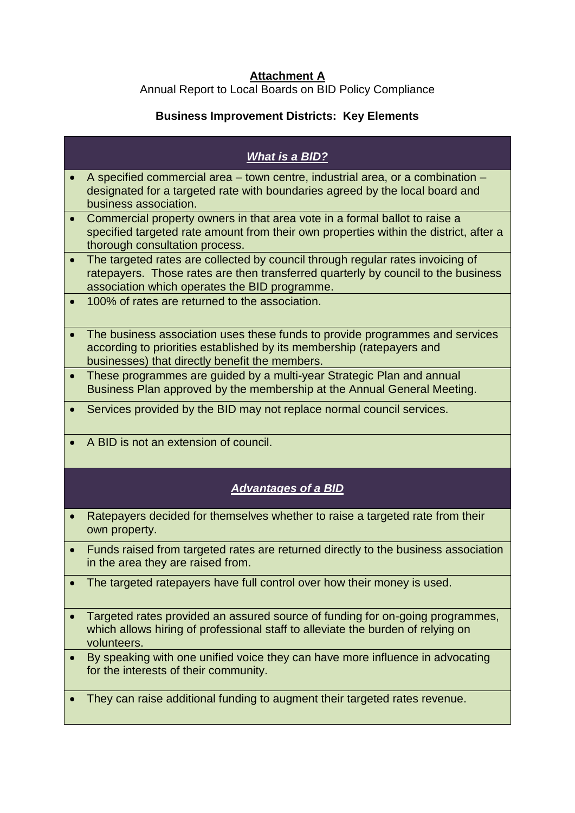## **Attachment A**

Annual Report to Local Boards on BID Policy Compliance

## **Business Improvement Districts: Key Elements**

|                        | <b>What is a BID?</b>                                                                                                                                                                                                |
|------------------------|----------------------------------------------------------------------------------------------------------------------------------------------------------------------------------------------------------------------|
|                        | A specified commercial area – town centre, industrial area, or a combination –<br>designated for a targeted rate with boundaries agreed by the local board and<br>business association.                              |
| $\bullet$              | Commercial property owners in that area vote in a formal ballot to raise a<br>specified targeted rate amount from their own properties within the district, after a<br>thorough consultation process.                |
| $\bullet$              | The targeted rates are collected by council through regular rates invoicing of<br>ratepayers. Those rates are then transferred quarterly by council to the business<br>association which operates the BID programme. |
| $\bullet$              | 100% of rates are returned to the association.                                                                                                                                                                       |
| $\bullet$              | The business association uses these funds to provide programmes and services<br>according to priorities established by its membership (ratepayers and<br>businesses) that directly benefit the members.              |
| $\bullet$              | These programmes are guided by a multi-year Strategic Plan and annual<br>Business Plan approved by the membership at the Annual General Meeting.                                                                     |
| $\bullet$              | Services provided by the BID may not replace normal council services.                                                                                                                                                |
|                        | A BID is not an extension of council.                                                                                                                                                                                |
|                        |                                                                                                                                                                                                                      |
|                        | <b>Advantages of a BID</b>                                                                                                                                                                                           |
|                        | Ratepayers decided for themselves whether to raise a targeted rate from their<br>own property.                                                                                                                       |
| $\bullet$<br>$\bullet$ | Funds raised from targeted rates are returned directly to the business association<br>in the area they are raised from.                                                                                              |
|                        | The targeted ratepayers have full control over how their money is used.                                                                                                                                              |
|                        | Targeted rates provided an assured source of funding for on-going programmes,<br>which allows hiring of professional staff to alleviate the burden of relying on<br>volunteers.                                      |
|                        | By speaking with one unified voice they can have more influence in advocating<br>for the interests of their community.                                                                                               |
|                        | They can raise additional funding to augment their targeted rates revenue.                                                                                                                                           |